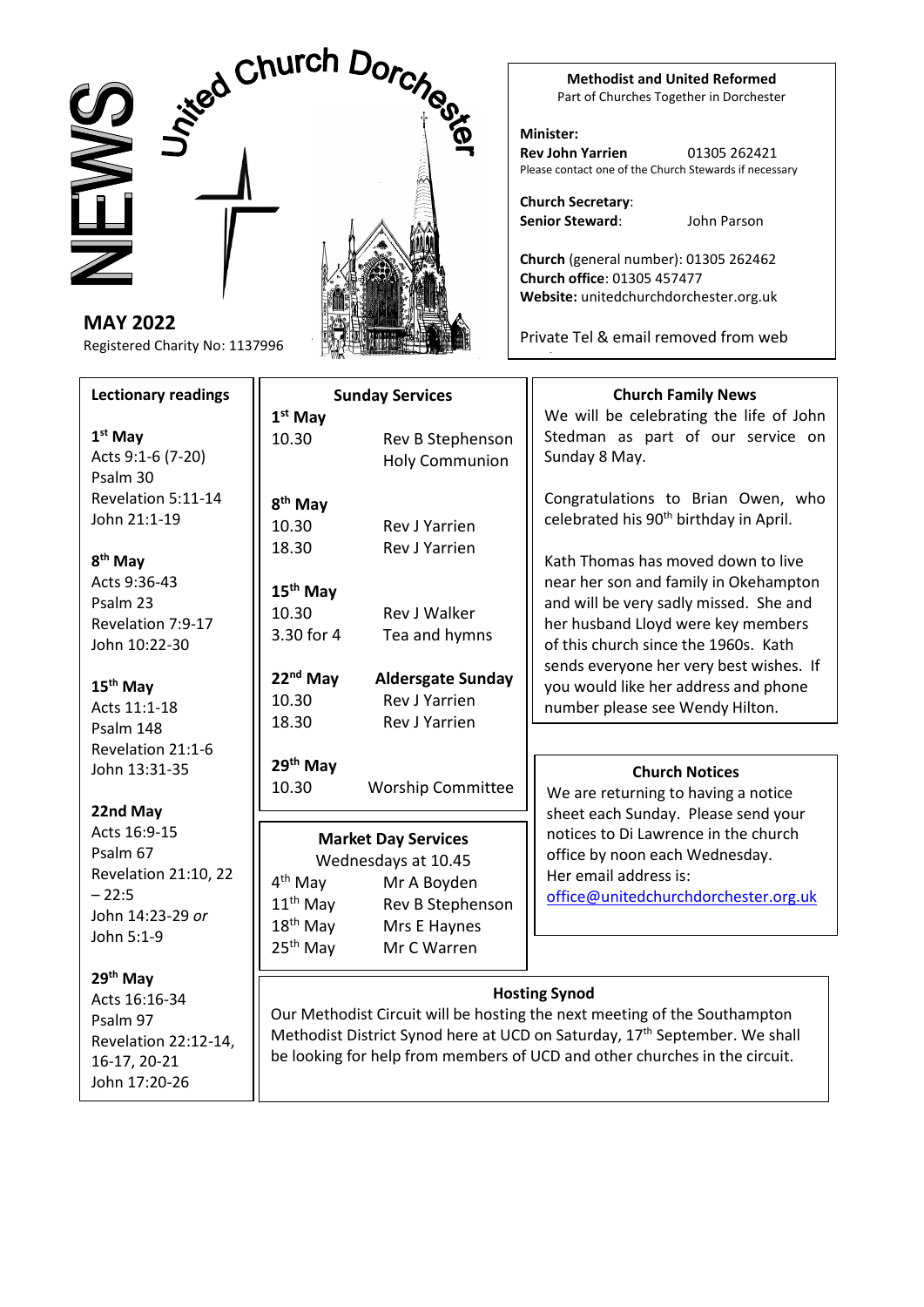

**MAY 2022** Registered Charity No: 1137996

# **Lectionary readings**

**1 st May** Acts 9:1-6 (7-20) Psalm 30 Revelation 5:11-14 John 21:1-19

**8 th May** Acts 9:36-43 Psalm 23 Revelation 7:9-17 John 10:22-30

**15th May** Acts 11:1-18 Psalm 148 Revelation 21:1-6 John 13:31-35

**22nd May** Acts 16:9-15 Psalm 67 Revelation 21:10, 22  $-22:5$ John 14:23-29 *or* John 5:1-9

**29th May**

Acts 16:16-34 Psalm 97 Revelation 22:12-14, 16-17, 20-21 John 17:20-26



**Methodist and United Reformed** Part of Churches Together in Dorchester

**Minister: Rev John Yarrien** 01305 262421 Please contact one of the Church Stewards if necessary

**Church Secretary**: **Senior Steward**: John Parson

version

n n

**Church** (general number): 01305 262462 **Church office**: 01305 457477 **Website:** unitedchurchdorchester.org.uk

Private Tel & email removed from web

| <b>Sunday Services</b>                                                                                               |                                                                                                                                                           | <b>Church Family News</b>                                                                                                                                                                                                                                                                                                                                                                                             |  |
|----------------------------------------------------------------------------------------------------------------------|-----------------------------------------------------------------------------------------------------------------------------------------------------------|-----------------------------------------------------------------------------------------------------------------------------------------------------------------------------------------------------------------------------------------------------------------------------------------------------------------------------------------------------------------------------------------------------------------------|--|
| $1st$ May                                                                                                            |                                                                                                                                                           | We will be celebrating the life of John                                                                                                                                                                                                                                                                                                                                                                               |  |
| 10.30                                                                                                                | Rev B Stephenson                                                                                                                                          | Stedman as part of our service on                                                                                                                                                                                                                                                                                                                                                                                     |  |
|                                                                                                                      | <b>Holy Communion</b>                                                                                                                                     | Sunday 8 May.                                                                                                                                                                                                                                                                                                                                                                                                         |  |
| 8 <sup>th</sup> May<br>10.30<br>18.30<br>15 <sup>th</sup> May<br>10.30<br>3.30 for 4<br>$22nd$ May<br>10.30<br>18.30 | <b>Rev.I Yarrien</b><br><b>Rev J Yarrien</b><br>Rev J Walker<br>Tea and hymns<br><b>Aldersgate Sunday</b><br><b>Rev J Yarrien</b><br><b>Rev J Yarrien</b> | Congratulations to Brian Owen, who<br>celebrated his 90 <sup>th</sup> birthday in April.<br>Kath Thomas has moved down to live<br>near her son and family in Okehampton<br>and will be very sadly missed. She and<br>her husband Lloyd were key members<br>of this church since the 1960s. Kath<br>sends everyone her very best wishes. If<br>you would like her address and phone<br>number please see Wendy Hilton. |  |
|                                                                                                                      |                                                                                                                                                           |                                                                                                                                                                                                                                                                                                                                                                                                                       |  |
| 29 <sup>th</sup> May                                                                                                 |                                                                                                                                                           | <b>Church Notices</b>                                                                                                                                                                                                                                                                                                                                                                                                 |  |
| 10.30                                                                                                                | <b>Worship Committee</b>                                                                                                                                  | We are returning to having a notice                                                                                                                                                                                                                                                                                                                                                                                   |  |
|                                                                                                                      |                                                                                                                                                           | sheet each Sunday. Please send your                                                                                                                                                                                                                                                                                                                                                                                   |  |
| <b>Market Day Services</b>                                                                                           |                                                                                                                                                           | notices to Di Lawrence in the church                                                                                                                                                                                                                                                                                                                                                                                  |  |
| Wednesdays at 10.45                                                                                                  |                                                                                                                                                           | office by noon each Wednesday.                                                                                                                                                                                                                                                                                                                                                                                        |  |
| 4 <sup>th</sup> May                                                                                                  | Mr A Boyden                                                                                                                                               | Her email address is:                                                                                                                                                                                                                                                                                                                                                                                                 |  |
| $11th$ May                                                                                                           | Rev B Stephenson                                                                                                                                          | office@unitedchurchdorchester.org.uk                                                                                                                                                                                                                                                                                                                                                                                  |  |
| $18th$ May                                                                                                           | Mrs E Haynes                                                                                                                                              |                                                                                                                                                                                                                                                                                                                                                                                                                       |  |
| 25 <sup>th</sup> May                                                                                                 | Mr C Warren                                                                                                                                               |                                                                                                                                                                                                                                                                                                                                                                                                                       |  |
| <b>Hosting Synod</b>                                                                                                 |                                                                                                                                                           |                                                                                                                                                                                                                                                                                                                                                                                                                       |  |

Our Methodist Circuit will be hosting the next meeting of the Southampton Methodist District Synod here at UCD on Saturday, 17<sup>th</sup> September. We shall be looking for help from members of UCD and other churches in the circuit.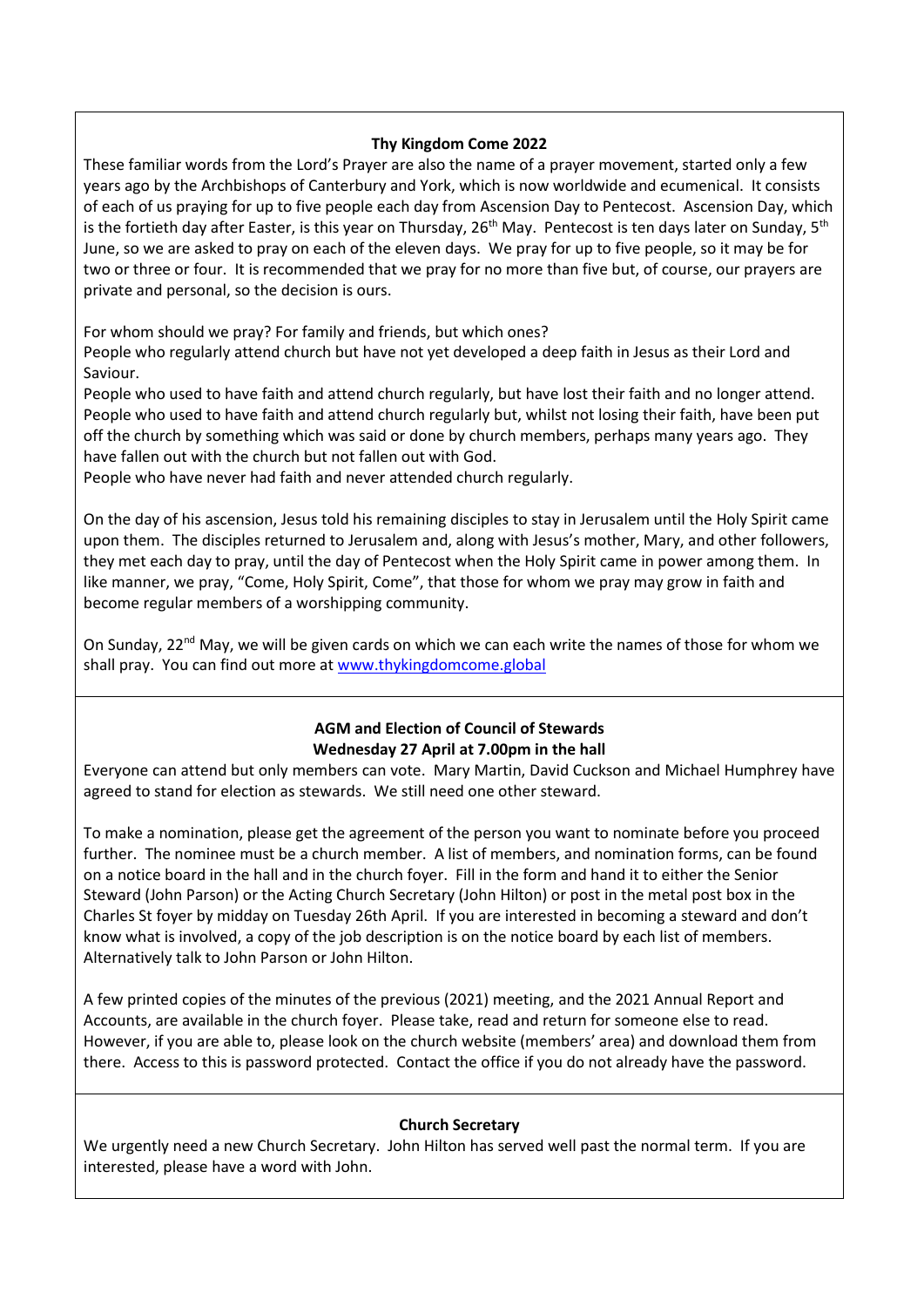#### **Thy Kingdom Come 2022**

These familiar words from the Lord's Prayer are also the name of a prayer movement, started only a few years ago by the Archbishops of Canterbury and York, which is now worldwide and ecumenical. It consists of each of us praying for up to five people each day from Ascension Day to Pentecost. Ascension Day, which is the fortieth day after Easter, is this year on Thursday,  $26^{th}$  May. Pentecost is ten days later on Sunday,  $5^{th}$ June, so we are asked to pray on each of the eleven days. We pray for up to five people, so it may be for two or three or four. It is recommended that we pray for no more than five but, of course, our prayers are private and personal, so the decision is ours.

For whom should we pray? For family and friends, but which ones?

People who regularly attend church but have not yet developed a deep faith in Jesus as their Lord and Saviour.

People who used to have faith and attend church regularly, but have lost their faith and no longer attend. People who used to have faith and attend church regularly but, whilst not losing their faith, have been put off the church by something which was said or done by church members, perhaps many years ago. They have fallen out with the church but not fallen out with God.

People who have never had faith and never attended church regularly.

On the day of his ascension, Jesus told his remaining disciples to stay in Jerusalem until the Holy Spirit came upon them. The disciples returned to Jerusalem and, along with Jesus's mother, Mary, and other followers, they met each day to pray, until the day of Pentecost when the Holy Spirit came in power among them. In like manner, we pray, "Come, Holy Spirit, Come", that those for whom we pray may grow in faith and become regular members of a worshipping community.

On Sunday, 22<sup>nd</sup> May, we will be given cards on which we can each write the names of those for whom we shall pray. You can find out more a[t www.thykingdomcome.global](http://www.thykingdomcome.global/)

# **AGM and Election of Council of Stewards Wednesday 27 April at 7.00pm in the hall**

Everyone can attend but only members can vote. Mary Martin, David Cuckson and Michael Humphrey have agreed to stand for election as stewards. We still need one other steward.

To make a nomination, please get the agreement of the person you want to nominate before you proceed further. The nominee must be a church member. A list of members, and nomination forms, can be found on a notice board in the hall and in the church foyer. Fill in the form and hand it to either the Senior Steward (John Parson) or the Acting Church Secretary (John Hilton) or post in the metal post box in the Charles St foyer by midday on Tuesday 26th April. If you are interested in becoming a steward and don't know what is involved, a copy of the job description is on the notice board by each list of members. Alternatively talk to John Parson or John Hilton.

A few printed copies of the minutes of the previous (2021) meeting, and the 2021 Annual Report and Accounts, are available in the church foyer. Please take, read and return for someone else to read. However, if you are able to, please look on the church website (members' area) and download them from there. Access to this is password protected. Contact the office if you do not already have the password.

#### **Church Secretary**

We urgently need a new Church Secretary. John Hilton has served well past the normal term. If you are interested, please have a word with John.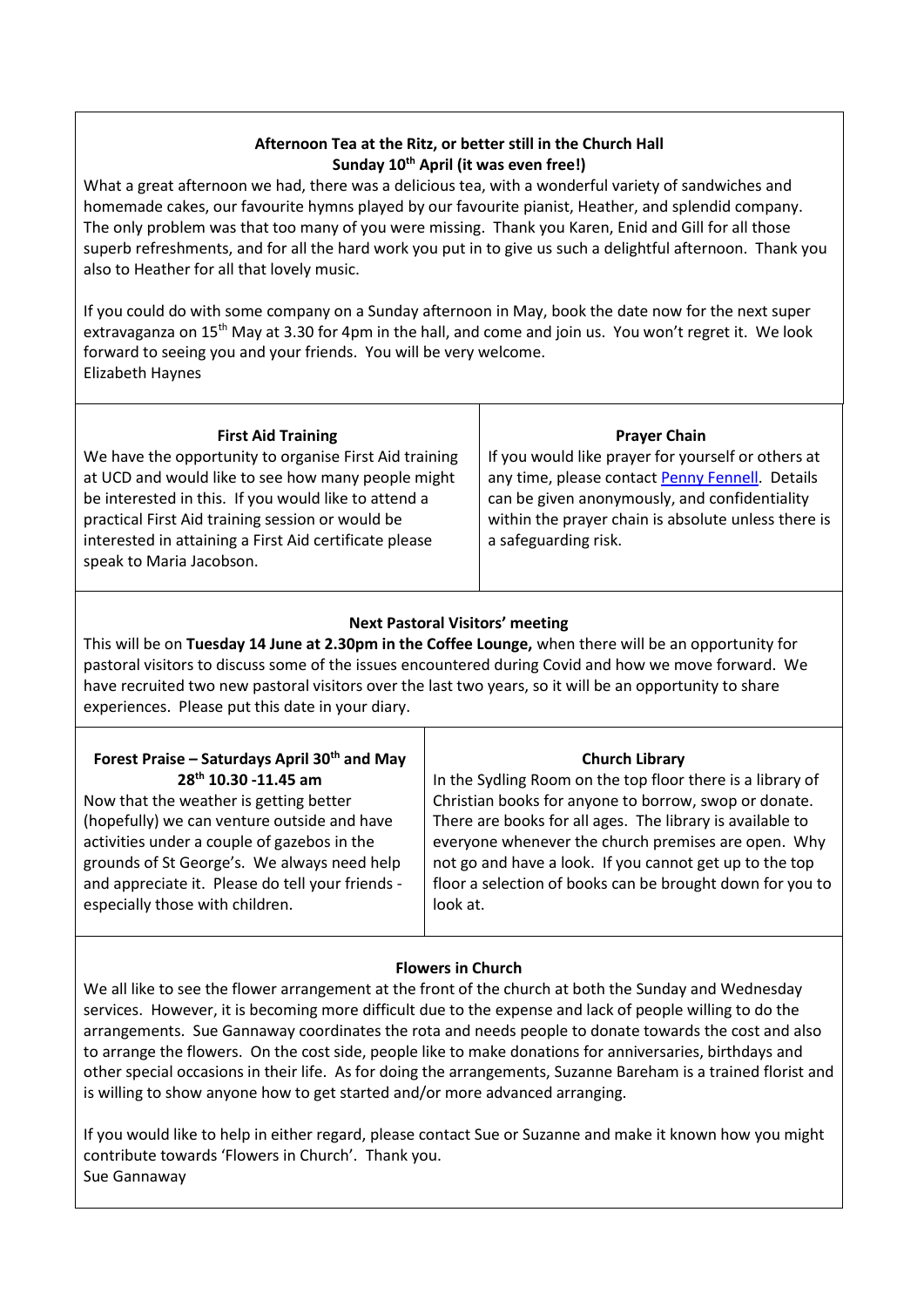# **Afternoon Tea at the Ritz, or better still in the Church Hall Sunday 10th April (it was even free!)**

What a great afternoon we had, there was a delicious tea, with a wonderful variety of sandwiches and homemade cakes, our favourite hymns played by our favourite pianist, Heather, and splendid company. The only problem was that too many of you were missing. Thank you Karen, Enid and Gill for all those superb refreshments, and for all the hard work you put in to give us such a delightful afternoon. Thank you also to Heather for all that lovely music.

If you could do with some company on a Sunday afternoon in May, book the date now for the next super extravaganza on 15th May at 3.30 for 4pm in the hall, and come and join us. You won't regret it. We look forward to seeing you and your friends. You will be very welcome. Elizabeth Haynes

| <b>First Aid Training</b>                              | <b>Prayer Chain</b>                                 |
|--------------------------------------------------------|-----------------------------------------------------|
| We have the opportunity to organise First Aid training | If you would like prayer for yourself or others at  |
| at UCD and would like to see how many people might     | any time, please contact Penny Fennell. Details     |
| be interested in this. If you would like to attend a   | can be given anonymously, and confidentiality       |
| practical First Aid training session or would be       | within the prayer chain is absolute unless there is |
| interested in attaining a First Aid certificate please | a safeguarding risk.                                |
| speak to Maria Jacobson.                               |                                                     |
|                                                        |                                                     |

# **Next Pastoral Visitors' meeting**

This will be on **Tuesday 14 June at 2.30pm in the Coffee Lounge,** when there will be an opportunity for pastoral visitors to discuss some of the issues encountered during Covid and how we move forward. We have recruited two new pastoral visitors over the last two years, so it will be an opportunity to share experiences. Please put this date in your diary.

| Forest Praise - Saturdays April 30 <sup>th</sup> and May                                                                                                                          | <b>Church Library</b>                                                                                                                                                                   |
|-----------------------------------------------------------------------------------------------------------------------------------------------------------------------------------|-----------------------------------------------------------------------------------------------------------------------------------------------------------------------------------------|
| 28 <sup>th</sup> 10.30 -11.45 am                                                                                                                                                  | In the Sydling Room on the top floor there is a library of                                                                                                                              |
| Now that the weather is getting better                                                                                                                                            | Christian books for anyone to borrow, swop or donate.                                                                                                                                   |
| (hopefully) we can venture outside and have                                                                                                                                       | There are books for all ages. The library is available to                                                                                                                               |
| activities under a couple of gazebos in the<br>grounds of St George's. We always need help<br>and appreciate it. Please do tell your friends -<br>especially those with children. | everyone whenever the church premises are open. Why<br>not go and have a look. If you cannot get up to the top<br>floor a selection of books can be brought down for you to<br>look at. |

# **Flowers in Church**

We all like to see the flower arrangement at the front of the church at both the Sunday and Wednesday services. However, it is becoming more difficult due to the expense and lack of people willing to do the arrangements. Sue Gannaway coordinates the rota and needs people to donate towards the cost and also to arrange the flowers. On the cost side, people like to make donations for anniversaries, birthdays and other special occasions in their life. As for doing the arrangements, Suzanne Bareham is a trained florist and is willing to show anyone how to get started and/or more advanced arranging.

If you would like to help in either regard, please contact Sue or Suzanne and make it known how you might contribute towards 'Flowers in Church'. Thank you. Sue Gannaway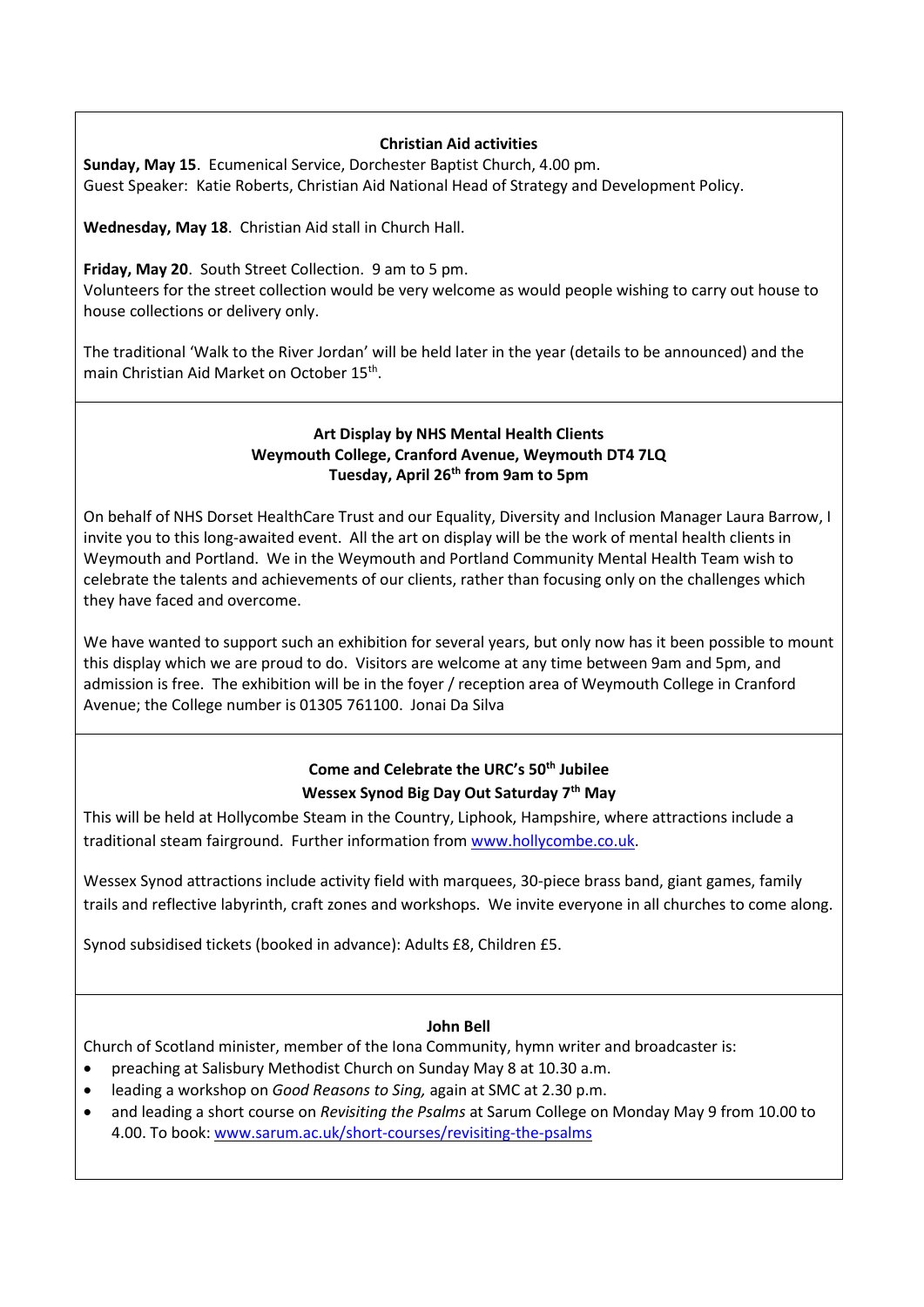#### **Christian Aid activities**

**Sunday, May 15**. Ecumenical Service, Dorchester Baptist Church, 4.00 pm. Guest Speaker: Katie Roberts, Christian Aid National Head of Strategy and Development Policy.

**Wednesday, May 18**. Christian Aid stall in Church Hall.

#### **Friday, May 20**. South Street Collection. 9 am to 5 pm.

Volunteers for the street collection would be very welcome as would people wishing to carry out house to house collections or delivery only.

The traditional 'Walk to the River Jordan' will be held later in the year (details to be announced) and the main Christian Aid Market on October 15<sup>th</sup>.

### **Art Display by NHS Mental Health Clients Weymouth College, Cranford Avenue, Weymouth DT4 7LQ Tuesday, April 26th from 9am to 5pm**

On behalf of NHS Dorset HealthCare Trust and our Equality, Diversity and Inclusion Manager Laura Barrow, I invite you to this long-awaited event. All the art on display will be the work of mental health clients in Weymouth and Portland. We in the Weymouth and Portland Community Mental Health Team wish to celebrate the talents and achievements of our clients, rather than focusing only on the challenges which they have faced and overcome.

We have wanted to support such an exhibition for several years, but only now has it been possible to mount this display which we are proud to do. Visitors are welcome at any time between 9am and 5pm, and admission is free. The exhibition will be in the foyer / reception area of Weymouth College in Cranford Avenue; the College number is 01305 761100. Jonai Da Silva

# **Come and Celebrate the URC's 50th Jubilee Wessex Synod Big Day Out Saturday 7th May**

This will be held at Hollycombe Steam in the Country, Liphook, Hampshire, where attractions include a traditional steam fairground. Further information fro[m www.hollycombe.co.uk.](http://www.hollycombe.co.uk/)

Wessex Synod attractions include activity field with marquees, 30-piece brass band, giant games, family trails and reflective labyrinth, craft zones and workshops. We invite everyone in all churches to come along.

Synod subsidised tickets (booked in advance): Adults £8, Children £5.

#### **John Bell**

Church of Scotland minister, member of the Iona Community, hymn writer and broadcaster is:

- preaching at Salisbury Methodist Church on Sunday May 8 at 10.30 a.m.
- leading a workshop on *Good Reasons to Sing,* again at SMC at 2.30 p.m.
- and leading a short course on *Revisiting the Psalms* at Sarum College on Monday May 9 from 10.00 to 4.00. To book: [www.sarum.ac.uk/short-courses/revisiting-the-psalms](http://www.sarum.ac.uk/short-courses/revisiting-the-psalms)